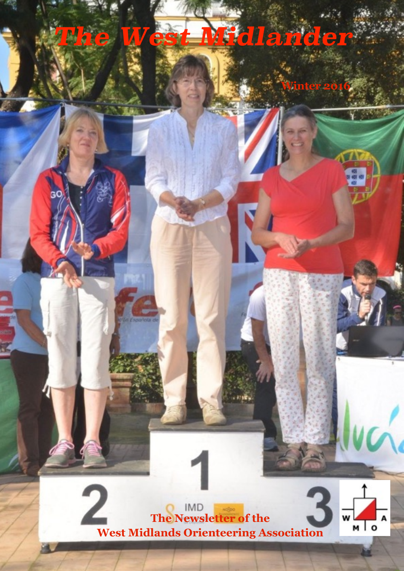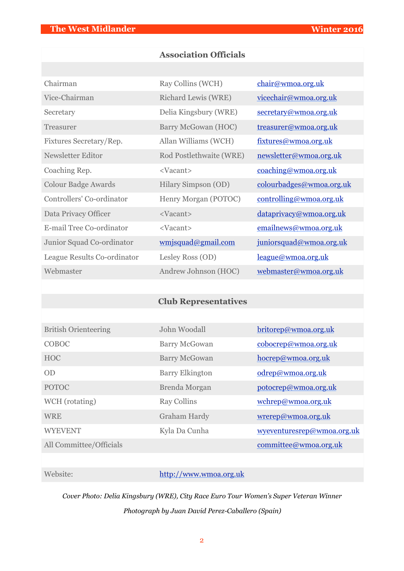## **Association Officials**

| Chairman                    | Ray Collins (WCH)       | chair@wmoa.org.uk            |
|-----------------------------|-------------------------|------------------------------|
| Vice-Chairman               | Richard Lewis (WRE)     | <u>vicechair@wmoa.org.uk</u> |
| Secretary                   | Delia Kingsbury (WRE)   | secretary@wmoa.org.uk        |
| Treasurer                   | Barry McGowan (HOC)     | treasurer@wmoa.org.uk        |
| Fixtures Secretary/Rep.     | Allan Williams (WCH)    | fixtures@wmoa.org.uk         |
| Newsletter Editor           | Rod Postlethwaite (WRE) | newsletter@wmoa.org.uk       |
| Coaching Rep.               | <vacant></vacant>       | coaching@wmoa.org.uk         |
| <b>Colour Badge Awards</b>  | Hilary Simpson (OD)     | colourbadges@wmoa.org.uk     |
| Controllers' Co-ordinator   | Henry Morgan (POTOC)    | controlling@wmoa.org.uk      |
| Data Privacy Officer        | <vacant></vacant>       | dataprivacy@wmoa.org.uk      |
| E-mail Tree Co-ordinator    | <vacant></vacant>       | emailnews@wmoa.org.uk        |
| Junior Squad Co-ordinator   | wmjsquad@gmail.com      | juniorsquad@wmoa.org.uk      |
| League Results Co-ordinator | Lesley Ross (OD)        | league@wmoa.org.uk           |
| Webmaster                   | Andrew Johnson (HOC)    | webmaster@wmoa.org.uk        |

# **Club Representatives**

| <b>British Orienteering</b> | John Woodall           | britorep@wmoa.org.uk       |
|-----------------------------|------------------------|----------------------------|
| COBOC                       | <b>Barry McGowan</b>   | cobocrep@wmoa.org.uk       |
| <b>HOC</b>                  | <b>Barry McGowan</b>   | hocrep@wmoa.org.uk         |
| OD                          | <b>Barry Elkington</b> | odrep@wmoa.org.uk          |
| <b>POTOC</b>                | Brenda Morgan          | potocrep@wmoa.org.uk       |
| WCH (rotating)              | <b>Ray Collins</b>     | wchrep@wmoa.org.uk         |
| <b>WRE</b>                  | <b>Graham Hardy</b>    | wrerep@wmoa.org.uk         |
| <b>WYEVENT</b>              | Kyla Da Cunha          | wyeventuresrep@wmoa.org.uk |
| All Committee/Officials     |                        | committee@wmoa.org.uk      |

## Website: <http://www.wmoa.org.uk>

*Cover Photo: Delia Kingsbury (WRE), City Race Euro Tour Women's Super Veteran Winner Photograph by Juan David Perez-Caballero (Spain)*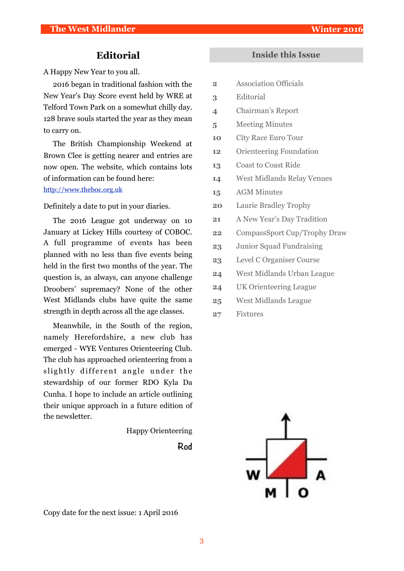## **Editorial**

A Happy New Year to you all.

2016 began in traditional fashion with the New Year's Day Score event held by WRE at Telford Town Park on a somewhat chilly day. 128 brave souls started the year as they mean to carry on.

The British Championship Weekend at Brown Clee is getting nearer and entries are now open. The website, which contains lots of information can be found here: <http://www.theboc.org.uk>

Definitely a date to put in your diaries.

The 2016 League got underway on 10 January at Lickey Hills courtesy of COBOC. A full programme of events has been planned with no less than five events being held in the first two months of the year. The question is, as always, can anyone challenge Droobers' supremacy? None of the other West Midlands clubs have quite the same strength in depth across all the age classes.

Meanwhile, in the South of the region, namely Herefordshire, a new club has emerged - WYE Ventures Orienteering Club. The club has approached orienteering from a slightly different angle under the stewardship of our former RDO Kyla Da Cunha. I hope to include an article outlining their unique approach in a future edition of the newsletter.

Happy Orienteering

**Rod** 

## **Inside this Issue**

- **2** Association Officials
- **3** Editorial
- **4** Chairman's Report
- **5** Meeting Minutes
- **10** City Race Euro Tour
- **12** Orienteering Foundation
- **13** Coast to Coast Ride
- **14** West Midlands Relay Venues
- **15** AGM Minutes
- **20** Laurie Bradley Trophy
- **21** A New Year's Day Tradition
- **22** CompassSport Cup/Trophy Draw
- **23** Junior Squad Fundraising
- **23** Level C Organiser Course
- **24** West Midlands Urban League
- **24** UK Orienteering League
- **25** West Midlands League
- **27** Fixtures



Copy date for the next issue: 1 April 2016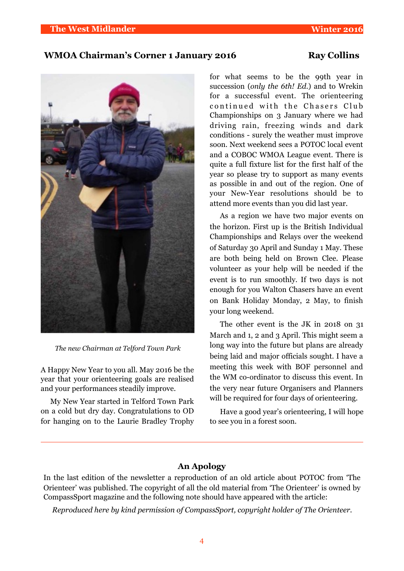## WMOA Chairman's Corner 1 January 2016 Ray Collins



*The new Chairman at Telford Town Park*

A Happy New Year to you all. May 2016 be the year that your orienteering goals are realised and your performances steadily improve.

My New Year started in Telford Town Park on a cold but dry day. Congratulations to OD for hanging on to the Laurie Bradley Trophy for what seems to be the 99th year in succession (*only the 6th! Ed.*) and to Wrekin for a successful event. The orienteering continued with the Chasers Club Championships on 3 January where we had driving rain, freezing winds and dark conditions - surely the weather must improve soon. Next weekend sees a POTOC local event and a COBOC WMOA League event. There is quite a full fixture list for the first half of the year so please try to support as many events as possible in and out of the region. One of your New-Year resolutions should be to attend more events than you did last year.

As a region we have two major events on the horizon. First up is the British Individual Championships and Relays over the weekend of Saturday 30 April and Sunday 1 May. These are both being held on Brown Clee. Please volunteer as your help will be needed if the event is to run smoothly. If two days is not enough for you Walton Chasers have an event on Bank Holiday Monday, 2 May, to finish your long weekend.

The other event is the JK in 2018 on 31 March and 1, 2 and 3 April. This might seem a long way into the future but plans are already being laid and major officials sought. I have a meeting this week with BOF personnel and the WM co-ordinator to discuss this event. In the very near future Organisers and Planners will be required for four days of orienteering.

Have a good year's orienteering, I will hope to see you in a forest soon.

## **An Apology**

In the last edition of the newsletter a reproduction of an old article about POTOC from 'The Orienteer' was published. The copyright of all the old material from 'The Orienteer' is owned by CompassSport magazine and the following note should have appeared with the article:

*Reproduced here by kind permission of CompassSport, copyright holder of The Orienteer.*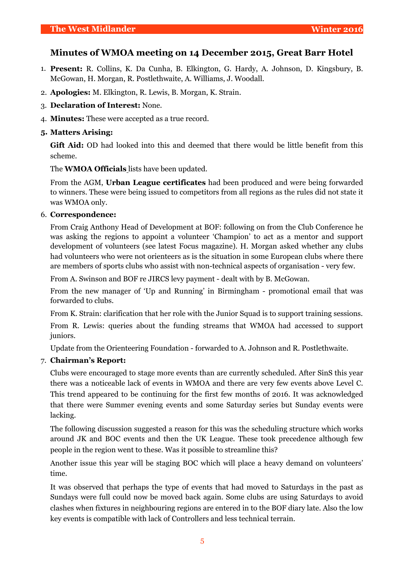## **Minutes of WMOA meeting on 14 December 2015, Great Barr Hotel**

- 1. **Present:** R. Collins, K. Da Cunha, B. Elkington, G. Hardy, A. Johnson, D. Kingsbury, B. McGowan, H. Morgan, R. Postlethwaite, A. Williams, J. Woodall.
- 2. **Apologies:** M. Elkington, R. Lewis, B. Morgan, K. Strain.
- 3. **Declaration of Interest:** None.
- 4. **Minutes:** These were accepted as a true record.

## **5. Matters Arising:**

**Gift Aid:** OD had looked into this and deemed that there would be little benefit from this scheme.

The **WMOA Officials** lists have been updated.

From the AGM, **Urban League certificates** had been produced and were being forwarded to winners. These were being issued to competitors from all regions as the rules did not state it was WMOA only.

## 6. **Correspondence:**

From Craig Anthony Head of Development at BOF: following on from the Club Conference he was asking the regions to appoint a volunteer 'Champion' to act as a mentor and support development of volunteers (see latest Focus magazine). H. Morgan asked whether any clubs had volunteers who were not orienteers as is the situation in some European clubs where there are members of sports clubs who assist with non-technical aspects of organisation - very few.

From A. Swinson and BOF re JIRCS levy payment - dealt with by B. McGowan.

From the new manager of 'Up and Running' in Birmingham - promotional email that was forwarded to clubs.

From K. Strain: clarification that her role with the Junior Squad is to support training sessions.

From R. Lewis: queries about the funding streams that WMOA had accessed to support juniors.

Update from the Orienteering Foundation - forwarded to A. Johnson and R. Postlethwaite.

## 7. **Chairman's Report:**

Clubs were encouraged to stage more events than are currently scheduled. After SinS this year there was a noticeable lack of events in WMOA and there are very few events above Level C. This trend appeared to be continuing for the first few months of 2016. It was acknowledged that there were Summer evening events and some Saturday series but Sunday events were lacking.

The following discussion suggested a reason for this was the scheduling structure which works around JK and BOC events and then the UK League. These took precedence although few people in the region went to these. Was it possible to streamline this?

Another issue this year will be staging BOC which will place a heavy demand on volunteers' time.

It was observed that perhaps the type of events that had moved to Saturdays in the past as Sundays were full could now be moved back again. Some clubs are using Saturdays to avoid clashes when fixtures in neighbouring regions are entered in to the BOF diary late. Also the low key events is compatible with lack of Controllers and less technical terrain.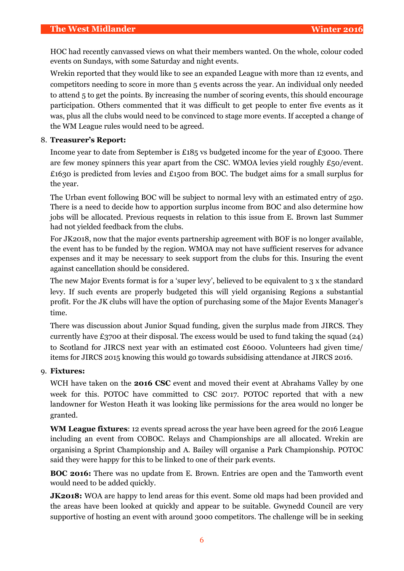HOC had recently canvassed views on what their members wanted. On the whole, colour coded events on Sundays, with some Saturday and night events.

Wrekin reported that they would like to see an expanded League with more than 12 events, and competitors needing to score in more than 5 events across the year. An individual only needed to attend 5 to get the points. By increasing the number of scoring events, this should encourage participation. Others commented that it was difficult to get people to enter five events as it was, plus all the clubs would need to be convinced to stage more events. If accepted a change of the WM League rules would need to be agreed.

## 8. **Treasurer's Report:**

Income year to date from September is £185 vs budgeted income for the year of £3000. There are few money spinners this year apart from the CSC. WMOA levies yield roughly £50/event. £1630 is predicted from levies and £1500 from BOC. The budget aims for a small surplus for the year.

The Urban event following BOC will be subject to normal levy with an estimated entry of 250. There is a need to decide how to apportion surplus income from BOC and also determine how jobs will be allocated. Previous requests in relation to this issue from E. Brown last Summer had not yielded feedback from the clubs.

For JK2018, now that the major events partnership agreement with BOF is no longer available, the event has to be funded by the region. WMOA may not have sufficient reserves for advance expenses and it may be necessary to seek support from the clubs for this. Insuring the event against cancellation should be considered.

The new Major Events format is for a 'super levy', believed to be equivalent to 3 x the standard levy. If such events are properly budgeted this will yield organising Regions a substantial profit. For the JK clubs will have the option of purchasing some of the Major Events Manager's time.

There was discussion about Junior Squad funding, given the surplus made from JIRCS. They currently have £3700 at their disposal. The excess would be used to fund taking the squad (24) to Scotland for JIRCS next year with an estimated cost £6000. Volunteers had given time/ items for JIRCS 2015 knowing this would go towards subsidising attendance at JIRCS 2016.

#### 9. **Fixtures:**

WCH have taken on the **2016 CSC** event and moved their event at Abrahams Valley by one week for this. POTOC have committed to CSC 2017. POTOC reported that with a new landowner for Weston Heath it was looking like permissions for the area would no longer be granted.

**WM League fixtures**: 12 events spread across the year have been agreed for the 2016 League including an event from COBOC. Relays and Championships are all allocated. Wrekin are organising a Sprint Championship and A. Bailey will organise a Park Championship. POTOC said they were happy for this to be linked to one of their park events.

**BOC 2016:** There was no update from E. Brown. Entries are open and the Tamworth event would need to be added quickly.

**JK2018:** WOA are happy to lend areas for this event. Some old maps had been provided and the areas have been looked at quickly and appear to be suitable. Gwynedd Council are very supportive of hosting an event with around 3000 competitors. The challenge will be in seeking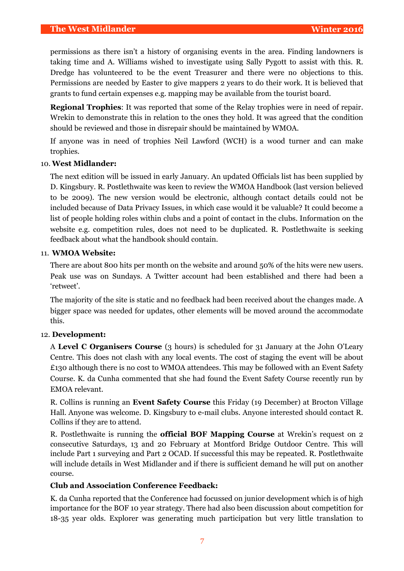permissions as there isn't a history of organising events in the area. Finding landowners is taking time and A. Williams wished to investigate using Sally Pygott to assist with this. R. Dredge has volunteered to be the event Treasurer and there were no objections to this. Permissions are needed by Easter to give mappers 2 years to do their work. It is believed that grants to fund certain expenses e.g. mapping may be available from the tourist board.

**Regional Trophies**: It was reported that some of the Relay trophies were in need of repair. Wrekin to demonstrate this in relation to the ones they hold. It was agreed that the condition should be reviewed and those in disrepair should be maintained by WMOA.

If anyone was in need of trophies Neil Lawford (WCH) is a wood turner and can make trophies.

## 10. **West Midlander:**

The next edition will be issued in early January. An updated Officials list has been supplied by D. Kingsbury. R. Postlethwaite was keen to review the WMOA Handbook (last version believed to be 2009). The new version would be electronic, although contact details could not be included because of Data Privacy Issues, in which case would it be valuable? It could become a list of people holding roles within clubs and a point of contact in the clubs. Information on the website e.g. competition rules, does not need to be duplicated. R. Postlethwaite is seeking feedback about what the handbook should contain.

## 11. **WMOA Website:**

There are about 800 hits per month on the website and around 50% of the hits were new users. Peak use was on Sundays. A Twitter account had been established and there had been a 'retweet'.

The majority of the site is static and no feedback had been received about the changes made. A bigger space was needed for updates, other elements will be moved around the accommodate this.

#### 12. **Development:**

A **Level C Organisers Course** (3 hours) is scheduled for 31 January at the John O'Leary Centre. This does not clash with any local events. The cost of staging the event will be about £130 although there is no cost to WMOA attendees. This may be followed with an Event Safety Course. K. da Cunha commented that she had found the Event Safety Course recently run by EMOA relevant.

R. Collins is running an **Event Safety Course** this Friday (19 December) at Brocton Village Hall. Anyone was welcome. D. Kingsbury to e-mail clubs. Anyone interested should contact R. Collins if they are to attend.

R. Postlethwaite is running the **official BOF Mapping Course** at Wrekin's request on 2 consecutive Saturdays, 13 and 20 February at Montford Bridge Outdoor Centre. This will include Part 1 surveying and Part 2 OCAD. If successful this may be repeated. R. Postlethwaite will include details in West Midlander and if there is sufficient demand he will put on another course.

#### **Club and Association Conference Feedback:**

K. da Cunha reported that the Conference had focussed on junior development which is of high importance for the BOF 10 year strategy. There had also been discussion about competition for 18-35 year olds. Explorer was generating much participation but very little translation to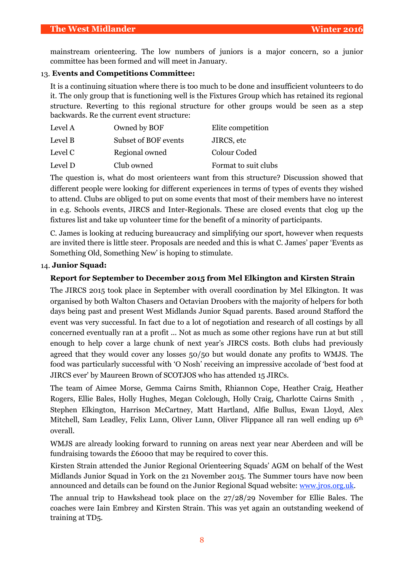mainstream orienteering. The low numbers of juniors is a major concern, so a junior committee has been formed and will meet in January.

## 13. **Events and Competitions Committee:**

It is a continuing situation where there is too much to be done and insufficient volunteers to do it. The only group that is functioning well is the Fixtures Group which has retained its regional structure. Reverting to this regional structure for other groups would be seen as a step backwards. Re the current event structure:

| Level A | Owned by BOF         | Elite competition    |
|---------|----------------------|----------------------|
| Level B | Subset of BOF events | JIRCS, etc           |
| Level C | Regional owned       | Colour Coded         |
| Level D | Club owned           | Format to suit clubs |

The question is, what do most orienteers want from this structure? Discussion showed that different people were looking for different experiences in terms of types of events they wished to attend. Clubs are obliged to put on some events that most of their members have no interest in e.g. Schools events, JIRCS and Inter-Regionals. These are closed events that clog up the fixtures list and take up volunteer time for the benefit of a minority of participants.

C. James is looking at reducing bureaucracy and simplifying our sport, however when requests are invited there is little steer. Proposals are needed and this is what C. James' paper 'Events as Something Old, Something New' is hoping to stimulate.

## 14. **Junior Squad:**

## **Report for September to December 2015 from Mel Elkington and Kirsten Strain**

The JIRCS 2015 took place in September with overall coordination by Mel Elkington. It was organised by both Walton Chasers and Octavian Droobers with the majority of helpers for both days being past and present West Midlands Junior Squad parents. Based around Stafford the event was very successful. In fact due to a lot of negotiation and research of all costings by all concerned eventually ran at a profit ... Not as much as some other regions have run at but still enough to help cover a large chunk of next year's JIRCS costs. Both clubs had previously agreed that they would cover any losses 50/50 but would donate any profits to WMJS. The food was particularly successful with 'O Nosh' receiving an impressive accolade of 'best food at JIRCS ever' by Maureen Brown of SCOTJOS who has attended 15 JIRCs.

The team of Aimee Morse, Gemma Cairns Smith, Rhiannon Cope, Heather Craig, Heather Rogers, Ellie Bales, Holly Hughes, Megan Colclough, Holly Craig, Charlotte Cairns Smith , Stephen Elkington, Harrison McCartney, Matt Hartland, Alfie Bullus, Ewan Lloyd, Alex Mitchell, Sam Leadley, Felix Lunn, Oliver Lunn, Oliver Flippance all ran well ending up 6<sup>th</sup> overall.

WMJS are already looking forward to running on areas next year near Aberdeen and will be fundraising towards the £6000 that may be required to cover this.

Kirsten Strain attended the Junior Regional Orienteering Squads' AGM on behalf of the West Midlands Junior Squad in York on the 21 November 2015. The Summer tours have now been announced and details can be found on the Junior Regional Squad website: www.jros.org.uk.

The annual trip to Hawkshead took place on the 27/28/29 November for Ellie Bales. The coaches were Iain Embrey and Kirsten Strain. This was yet again an outstanding weekend of training at TD5.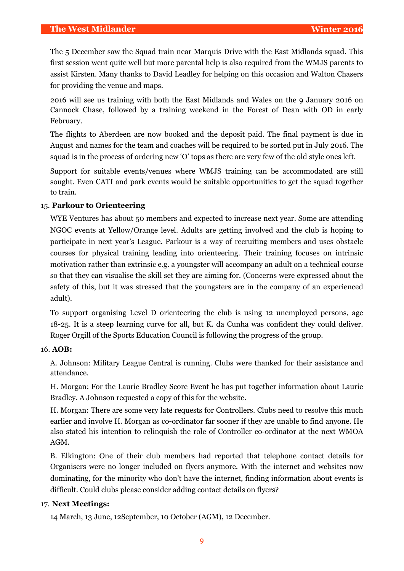The 5 December saw the Squad train near Marquis Drive with the East Midlands squad. This first session went quite well but more parental help is also required from the WMJS parents to assist Kirsten. Many thanks to David Leadley for helping on this occasion and Walton Chasers for providing the venue and maps.

2016 will see us training with both the East Midlands and Wales on the 9 January 2016 on Cannock Chase, followed by a training weekend in the Forest of Dean with OD in early February.

The flights to Aberdeen are now booked and the deposit paid. The final payment is due in August and names for the team and coaches will be required to be sorted put in July 2016. The squad is in the process of ordering new 'O' tops as there are very few of the old style ones left.

Support for suitable events/venues where WMJS training can be accommodated are still sought. Even CATI and park events would be suitable opportunities to get the squad together to train.

## 15. **Parkour to Orienteering**

WYE Ventures has about 50 members and expected to increase next year. Some are attending NGOC events at Yellow/Orange level. Adults are getting involved and the club is hoping to participate in next year's League. Parkour is a way of recruiting members and uses obstacle courses for physical training leading into orienteering. Their training focuses on intrinsic motivation rather than extrinsic e.g. a youngster will accompany an adult on a technical course so that they can visualise the skill set they are aiming for. (Concerns were expressed about the safety of this, but it was stressed that the youngsters are in the company of an experienced adult).

To support organising Level D orienteering the club is using 12 unemployed persons, age 18-25. It is a steep learning curve for all, but K. da Cunha was confident they could deliver. Roger Orgill of the Sports Education Council is following the progress of the group.

#### 16. **AOB:**

A. Johnson: Military League Central is running. Clubs were thanked for their assistance and attendance.

H. Morgan: For the Laurie Bradley Score Event he has put together information about Laurie Bradley. A Johnson requested a copy of this for the website.

H. Morgan: There are some very late requests for Controllers. Clubs need to resolve this much earlier and involve H. Morgan as co-ordinator far sooner if they are unable to find anyone. He also stated his intention to relinquish the role of Controller co-ordinator at the next WMOA AGM.

B. Elkington: One of their club members had reported that telephone contact details for Organisers were no longer included on flyers anymore. With the internet and websites now dominating, for the minority who don't have the internet, finding information about events is difficult. Could clubs please consider adding contact details on flyers?

#### 17. **Next Meetings:**

14 March, 13 June, 12September, 10 October (AGM), 12 December.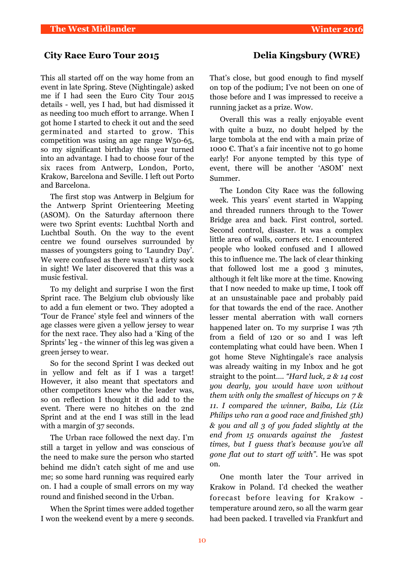## **City Race Euro Tour 2015 Delia Kingsbury (WRE)**

This all started off on the way home from an event in late Spring. Steve (Nightingale) asked me if I had seen the Euro City Tour 2015 details - well, yes I had, but had dismissed it as needing too much effort to arrange. When I got home I started to check it out and the seed germinated and started to grow. This competition was using an age range W50-65, so my significant birthday this year turned into an advantage. I had to choose four of the six races from Antwerp, London, Porto, Krakow, Barcelona and Seville. I left out Porto and Barcelona.

The first stop was Antwerp in Belgium for the Antwerp Sprint Orienteering Meeting (ASOM). On the Saturday afternoon there were two Sprint events: Luchtbal North and Luchtbal South. On the way to the event centre we found ourselves surrounded by masses of youngsters going to 'Laundry Day'. We were confused as there wasn't a dirty sock in sight! We later discovered that this was a music festival.

To my delight and surprise I won the first Sprint race. The Belgium club obviously like to add a fun element or two. They adopted a 'Tour de France' style feel and winners of the age classes were given a yellow jersey to wear for the next race. They also had a 'King of the Sprints' leg - the winner of this leg was given a green jersey to wear.

So for the second Sprint I was decked out in yellow and felt as if I was a target! However, it also meant that spectators and other competitors knew who the leader was, so on reflection I thought it did add to the event. There were no hitches on the 2nd Sprint and at the end I was still in the lead with a margin of 37 seconds.

The Urban race followed the next day. I'm still a target in yellow and was conscious of the need to make sure the person who started behind me didn't catch sight of me and use me; so some hard running was required early on. I had a couple of small errors on my way round and finished second in the Urban.

When the Sprint times were added together I won the weekend event by a mere 9 seconds.

That's close, but good enough to find myself on top of the podium; I've not been on one of those before and I was impressed to receive a running jacket as a prize. Wow.

Overall this was a really enjoyable event with quite a buzz, no doubt helped by the large tombola at the end with a main prize of 1000  $\epsilon$ . That's a fair incentive not to go home early! For anyone tempted by this type of event, there will be another 'ASOM' next Summer.

The London City Race was the following week. This years' event started in Wapping and threaded runners through to the Tower Bridge area and back. First control, sorted. Second control, disaster. It was a complex little area of walls, corners etc. I encountered people who looked confused and I allowed this to influence me. The lack of clear thinking that followed lost me a good 3 minutes, although it felt like more at the time. Knowing that I now needed to make up time, I took off at an unsustainable pace and probably paid for that towards the end of the race. Another lesser mental aberration with wall corners happened later on. To my surprise I was 7th from a field of 120 or so and I was left contemplating what could have been. When I got home Steve Nightingale's race analysis was already waiting in my Inbox and he got straight to the point…. *"Hard luck, 2 & 14 cost you dearly, you would have won without them with only the smallest of hiccups on 7 & 11. I compared the winner, Baiba, Liz (Liz Philips who ran a good race and finished 5th) & you and all 3 of you faded slightly at the end from 15 onwards against the fastest times, but I guess that's because you've all gone flat out to start off with"*. He was spot on.

One month later the Tour arrived in Krakow in Poland. I'd checked the weather forecast before leaving for Krakow temperature around zero, so all the warm gear had been packed. I travelled via Frankfurt and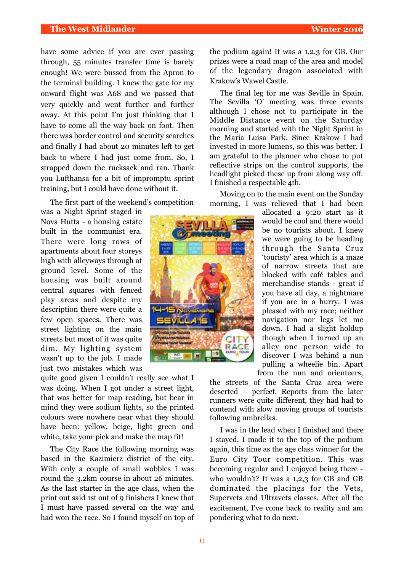### **The West Midlander Winter 2016**

have some advice if you are ever passing through, 55 minutes transfer time is barely enough! We were bussed from the Apron to the terminal building. I knew the gate for my onward flight was A68 and we passed that very quickly and went further and further away. At this point I'm just thinking that I have to come all the way back on foot. Then there was border control and security searches and finally I had about 20 minutes left to get back to where I had just come from. So, I strapped down the rucksack and ran. Thank you Lufthansa for a bit of impromptu sprint training, but I could have done without it.

The first part of the weekend's competition

was a Night Sprint staged in Nova Hutta - a housing estate built in the communist era. There were long rows of apartments about four storeys high with alleyways through at ground level. Some of the housing was built around central squares with fenced play areas and despite my description there were quite a few open spaces. There was street lighting on the main streets but most of it was quite dim. My lighting system wasn't up to the job. I made just two mistakes which was

quite good given I couldn't really see what I was doing. When I got under a street light, that was better for map reading, but bear in mind they were sodium lights, so the printed colours were nowhere near what they should have been: yellow, beige, light green and white, take your pick and make the map fit!

The City Race the following morning was based in the Kazimierz district of the city. With only a couple of small wobbles I was round the 3.2km course in about 26 minutes. As the last starter in the age class, when the print out said 1st out of 9 finishers I knew that I must have passed several on the way and had won the race. So I found myself on top of the podium again! It was a 1,2,3 for GB. Our prizes were a road map of the area and model of the legendary dragon associated with Krakow's Wawel Castle.

The final leg for me was Seville in Spain. The Sevilla 'O' meeting was three events although I chose not to participate in the Middle Distance event on the Saturday morning and started with the Night Sprint in the Maria Luisa Park. Since Krakow I had invested in more lumens, so this was better. I am grateful to the planner who chose to put reflective strips on the control supports, the headlight picked these up from along way off. I finished a respectable 4th.

Moving on to the main event on the Sunday morning, I was relieved that I had been

> allocated a 9:20 start as it would be cool and there would be no tourists about. I knew we were going to be heading through the Santa Cruz 'touristy' area which is a maze of narrow streets that are blocked with café tables and merchandise stands - great if you have all day, a nightmare if you are in a hurry. I was pleased with my race; neither navigation nor legs let me down. I had a slight holdup though when I turned up an alley one person wide to discover I was behind a nun pulling a wheelie bin. Apart from the nun and orienteers,

the streets of the Santa Cruz area were deserted – perfect. Reports from the later runners were quite different, they had had to contend with slow moving groups of tourists following umbrellas.

I was in the lead when I finished and there I stayed. I made it to the top of the podium again, this time as the age class winner for the Euro City Tour competition. This was becoming regular and I enjoyed being there who wouldn't? It was a 1,2,3 for GB and GB dominated the placings for the Vets, Supervets and Ultravets classes. After all the excitement, I've come back to reality and am pondering what to do next.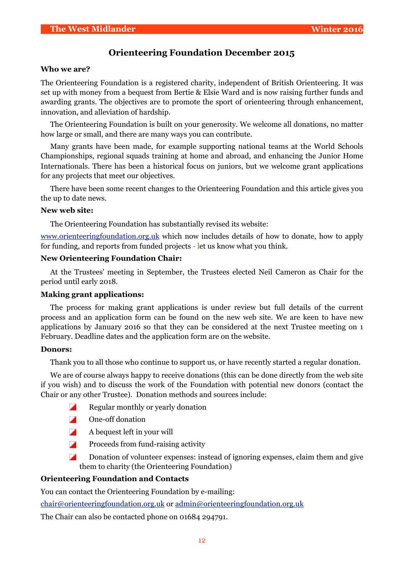## **Orienteering Foundation December 2015**

#### **Who we are?**

The Orienteering Foundation is a registered charity, independent of British Orienteering. It was set up with money from a bequest from Bertie & Elsie Ward and is now raising further funds and awarding grants. The objectives are to promote the sport of orienteering through enhancement, innovation, and alleviation of hardship.

The Orienteering Foundation is built on your generosity. We welcome all donations, no matter how large or small, and there are many ways you can contribute.

Many grants have been made, for example supporting national teams at the World Schools Championships, regional squads training at home and abroad, and enhancing the Junior Home Internationals. There has been a historical focus on juniors, but we welcome grant applications for any projects that meet our objectives.

There have been some recent changes to the Orienteering Foundation and this article gives you the up to date news.

#### **New web site:**

The Orienteering Foundation has substantially revised its website:

[www.orienteeringfoundation.org.uk](http://www.orienteeringfoundation.org.uk/) which now includes details of how to donate, how to apply for funding, and reports from funded projects - let us know what you think.

#### **New Orienteering Foundation Chair:**

At the Trustees' meeting in September, the Trustees elected Neil Cameron as Chair for the period until early 2018.

#### **Making grant applications:**

The process for making grant applications is under review but full details of the current process and an application form can be found on the new web site. We are keen to have new applications by January 2016 so that they can be considered at the next Trustee meeting on 1 February. Deadline dates and the application form are on the website.

#### **Donors:**

Thank you to all those who continue to support us, or have recently started a regular donation.

We are of course always happy to receive donations (this can be done directly from the web site if you wish) and to discuss the work of the Foundation with potential new donors (contact the Chair or any other Trustee). Donation methods and sources include:

- ◤ Regular monthly or yearly donation
- Ζ One-off donation
- $\overline{\phantom{a}}$ A bequest left in your will
- Ζ Proceeds from fund-raising activity
- Ζ Donation of volunteer expenses: instead of ignoring expenses, claim them and give them to charity (the Orienteering Foundation)

#### **Orienteering Foundation and Contacts**

You can contact the Orienteering Foundation by e-mailing:

chair@orienteeringfoundation.org.uk or [admin@orienteeringfoundation.org.uk](mailto:admin@orienteeringfoundation.org.uk)

The Chair can also be contacted phone on 01684 294791.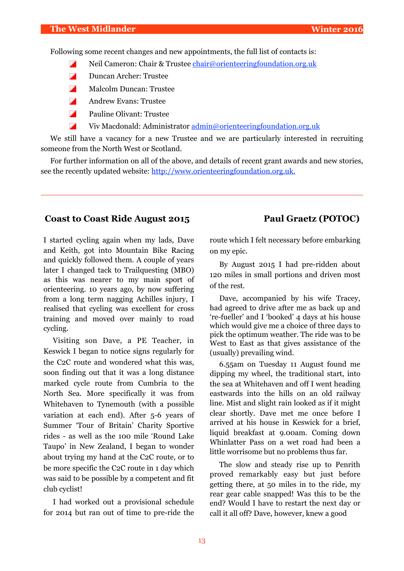Following some recent changes and new appointments, the full list of contacts is:

- Ζ Neil Cameron: Chair & Trustee *[chair@orienteeringfoundation.org.uk](mailto:chair@orienteeringfoundation.org.uk)*
- Ζ Duncan Archer: Trustee
- Ζ Malcolm Duncan: Trustee
- Ζ Andrew Evans: Trustee
- Ζ Pauline Olivant: Trustee
- Z Viv Macdonald: Administrator [admin@orienteeringfoundation.org.uk](mailto:admin@orienteeringfoundation.org.uk)

We still have a vacancy for a new Trustee and we are particularly interested in recruiting someone from the North West or Scotland.

For further information on all of the above, and details of recent grant awards and new stories, see the recently updated website: http://www.orienteeringfoundation.org.uk.

## **Coast to Coast Ride August 2015 Paul Graetz (POTOC)**

I started cycling again when my lads, Dave and Keith, got into Mountain Bike Racing and quickly followed them. A couple of years later I changed tack to Trailquesting (MBO) as this was nearer to my main sport of orienteering. 10 years ago, by now suffering from a long term nagging Achilles injury, I realised that cycling was excellent for cross training and moved over mainly to road cycling.

Visiting son Dave, a PE Teacher, in Keswick I began to notice signs regularly for the C2C route and wondered what this was, soon finding out that it was a long distance marked cycle route from Cumbria to the North Sea. More specifically it was from Whitehaven to Tynemouth (with a possible variation at each end). After 5-6 years of Summer 'Tour of Britain' Charity Sportive rides - as well as the 100 mile 'Round Lake Taupo' in New Zealand, I began to wonder about trying my hand at the C2C route, or to be more specific the C2C route in 1 day which was said to be possible by a competent and fit club cyclist!

I had worked out a provisional schedule for 2014 but ran out of time to pre-ride the route which I felt necessary before embarking on my epic.

By August 2015 I had pre-ridden about 120 miles in small portions and driven most of the rest.

Dave, accompanied by his wife Tracey, had agreed to drive after me as back up and 're-fueller' and I 'booked' 4 days at his house which would give me a choice of three days to pick the optimum weather. The ride was to be West to East as that gives assistance of the (usually) prevailing wind.

6.55am on Tuesday 11 August found me dipping my wheel, the traditional start, into the sea at Whitehaven and off I went heading eastwards into the hills on an old railway line. Mist and slight rain looked as if it might clear shortly. Dave met me once before I arrived at his house in Keswick for a brief, liquid breakfast at 9.00am. Coming down Whinlatter Pass on a wet road had been a little worrisome but no problems thus far.

The slow and steady rise up to Penrith proved remarkably easy but just before getting there, at 50 miles in to the ride, my rear gear cable snapped! Was this to be the end? Would I have to restart the next day or call it all off? Dave, however, knew a good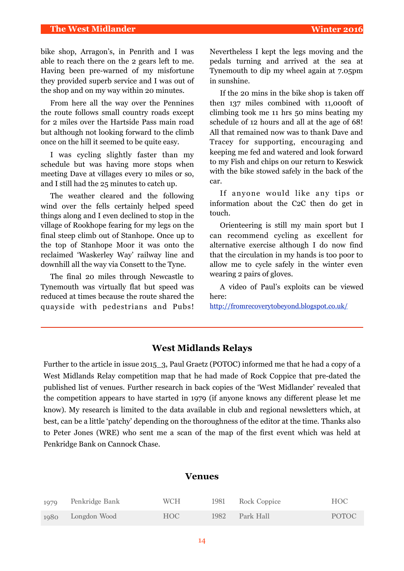bike shop, Arragon's, in Penrith and I was able to reach there on the 2 gears left to me. Having been pre-warned of my misfortune they provided superb service and I was out of the shop and on my way within 20 minutes.

From here all the way over the Pennines the route follows small country roads except for 2 miles over the Hartside Pass main road but although not looking forward to the climb once on the hill it seemed to be quite easy.

I was cycling slightly faster than my schedule but was having more stops when meeting Dave at villages every 10 miles or so, and I still had the 25 minutes to catch up.

The weather cleared and the following wind over the fells certainly helped speed things along and I even declined to stop in the village of Rookhope fearing for my legs on the final steep climb out of Stanhope. Once up to the top of Stanhope Moor it was onto the reclaimed 'Waskerley Way' railway line and downhill all the way via Consett to the Tyne.

The final 20 miles through Newcastle to Tynemouth was virtually flat but speed was reduced at times because the route shared the quayside with pedestrians and Pubs!

Nevertheless I kept the legs moving and the pedals turning and arrived at the sea at Tynemouth to dip my wheel again at 7.05pm in sunshine.

If the 20 mins in the bike shop is taken off then 137 miles combined with 11,000ft of climbing took me 11 hrs 50 mins beating my schedule of 12 hours and all at the age of 68! All that remained now was to thank Dave and Tracey for supporting, encouraging and keeping me fed and watered and look forward to my Fish and chips on our return to Keswick with the bike stowed safely in the back of the car.

If anyone would like any tips or information about the C2C then do get in touch.

Orienteering is still my main sport but I can recommend cycling as excellent for alternative exercise although I do now find that the circulation in my hands is too poor to allow me to cycle safely in the winter even wearing 2 pairs of gloves.

A video of Paul's exploits can be viewed here:

http://fromrecoverytobeyond.blogspot.co.uk/

## **West Midlands Relays**

Further to the article in issue 2015\_3, Paul Graetz (POTOC) informed me that he had a copy of a West Midlands Relay competition map that he had made of Rock Coppice that pre-dated the published list of venues. Further research in back copies of the 'West Midlander' revealed that the competition appears to have started in 1979 (if anyone knows any different please let me know). My research is limited to the data available in club and regional newsletters which, at best, can be a little 'patchy' depending on the thoroughness of the editor at the time. Thanks also to Peter Jones (WRE) who sent me a scan of the map of the first event which was held at Penkridge Bank on Cannock Chase.

### **Venues**

| 1979 | Penkridge Bank    | WCH | 1981 | Rock Coppice | HOC          |
|------|-------------------|-----|------|--------------|--------------|
|      | 1980 Longdon Wood | HOC | 1982 | Park Hall    | <b>POTOC</b> |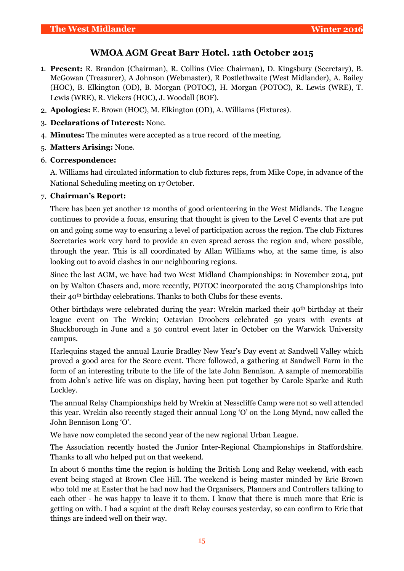## **WMOA AGM Great Barr Hotel. 12th October 2015**

- 1. **Present:** R. Brandon (Chairman), R. Collins (Vice Chairman), D. Kingsbury (Secretary), B. McGowan (Treasurer), A Johnson (Webmaster), R Postlethwaite (West Midlander), A. Bailey (HOC), B. Elkington (OD), B. Morgan (POTOC), H. Morgan (POTOC), R. Lewis (WRE), T. Lewis (WRE), R. Vickers (HOC), J. Woodall (BOF).
- 2. **Apologies:** E. Brown (HOC), M. Elkington (OD), A. Williams (Fixtures).
- 3. **Declarations of Interest:** None.
- 4. **Minutes:** The minutes were accepted as a true record of the meeting.
- 5. **Matters Arising:** None.
- 6. **Correspondence:**

A. Williams had circulated information to club fixtures reps, from Mike Cope, in advance of the National Scheduling meeting on 17 October.

## 7. **Chairman's Report:**

There has been yet another 12 months of good orienteering in the West Midlands. The League continues to provide a focus, ensuring that thought is given to the Level C events that are put on and going some way to ensuring a level of participation across the region. The club Fixtures Secretaries work very hard to provide an even spread across the region and, where possible, through the year. This is all coordinated by Allan Williams who, at the same time, is also looking out to avoid clashes in our neighbouring regions.

Since the last AGM, we have had two West Midland Championships: in November 2014, put on by Walton Chasers and, more recently, POTOC incorporated the 2015 Championships into their 40th birthday celebrations. Thanks to both Clubs for these events.

Other birthdays were celebrated during the year: Wrekin marked their 40<sup>th</sup> birthday at their league event on The Wrekin; Octavian Droobers celebrated 50 years with events at Shuckborough in June and a 50 control event later in October on the Warwick University campus.

Harlequins staged the annual Laurie Bradley New Year's Day event at Sandwell Valley which proved a good area for the Score event. There followed, a gathering at Sandwell Farm in the form of an interesting tribute to the life of the late John Bennison. A sample of memorabilia from John's active life was on display, having been put together by Carole Sparke and Ruth Lockley.

The annual Relay Championships held by Wrekin at Nesscliffe Camp were not so well attended this year. Wrekin also recently staged their annual Long 'O' on the Long Mynd, now called the John Bennison Long 'O'.

We have now completed the second year of the new regional Urban League.

The Association recently hosted the Junior Inter-Regional Championships in Staffordshire. Thanks to all who helped put on that weekend.

In about 6 months time the region is holding the British Long and Relay weekend, with each event being staged at Brown Clee Hill. The weekend is being master minded by Eric Brown who told me at Easter that he had now had the Organisers, Planners and Controllers talking to each other - he was happy to leave it to them. I know that there is much more that Eric is getting on with. I had a squint at the draft Relay courses yesterday, so can confirm to Eric that things are indeed well on their way.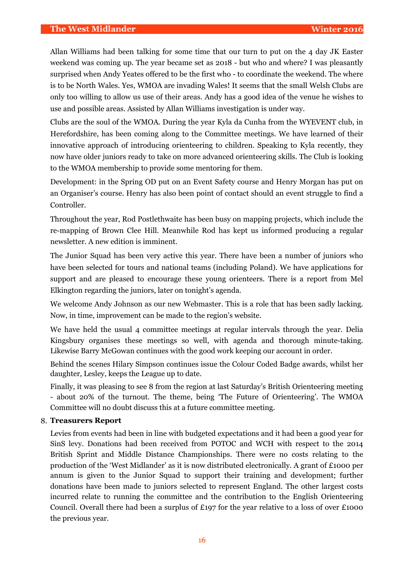Allan Williams had been talking for some time that our turn to put on the 4 day JK Easter weekend was coming up. The year became set as 2018 - but who and where? I was pleasantly surprised when Andy Yeates offered to be the first who - to coordinate the weekend. The where is to be North Wales. Yes, WMOA are invading Wales! It seems that the small Welsh Clubs are only too willing to allow us use of their areas. Andy has a good idea of the venue he wishes to use and possible areas. Assisted by Allan Williams investigation is under way.

Clubs are the soul of the WMOA. During the year Kyla da Cunha from the WYEVENT club, in Herefordshire, has been coming along to the Committee meetings. We have learned of their innovative approach of introducing orienteering to children. Speaking to Kyla recently, they now have older juniors ready to take on more advanced orienteering skills. The Club is looking to the WMOA membership to provide some mentoring for them.

Development: in the Spring OD put on an Event Safety course and Henry Morgan has put on an Organiser's course. Henry has also been point of contact should an event struggle to find a Controller.

Throughout the year, Rod Postlethwaite has been busy on mapping projects, which include the re-mapping of Brown Clee Hill. Meanwhile Rod has kept us informed producing a regular newsletter. A new edition is imminent.

The Junior Squad has been very active this year. There have been a number of juniors who have been selected for tours and national teams (including Poland). We have applications for support and are pleased to encourage these young orienteers. There is a report from Mel Elkington regarding the juniors, later on tonight's agenda.

We welcome Andy Johnson as our new Webmaster. This is a role that has been sadly lacking. Now, in time, improvement can be made to the region's website.

We have held the usual 4 committee meetings at regular intervals through the year. Delia Kingsbury organises these meetings so well, with agenda and thorough minute-taking. Likewise Barry McGowan continues with the good work keeping our account in order.

Behind the scenes Hilary Simpson continues issue the Colour Coded Badge awards, whilst her daughter, Lesley, keeps the League up to date.

Finally, it was pleasing to see 8 from the region at last Saturday's British Orienteering meeting - about 20% of the turnout. The theme, being 'The Future of Orienteering'. The WMOA Committee will no doubt discuss this at a future committee meeting.

## 8. **Treasurers Report**

Levies from events had been in line with budgeted expectations and it had been a good year for SinS levy. Donations had been received from POTOC and WCH with respect to the 2014 British Sprint and Middle Distance Championships. There were no costs relating to the production of the 'West Midlander' as it is now distributed electronically. A grant of £1000 per annum is given to the Junior Squad to support their training and development; further donations have been made to juniors selected to represent England. The other largest costs incurred relate to running the committee and the contribution to the English Orienteering Council. Overall there had been a surplus of £197 for the year relative to a loss of over £1000 the previous year.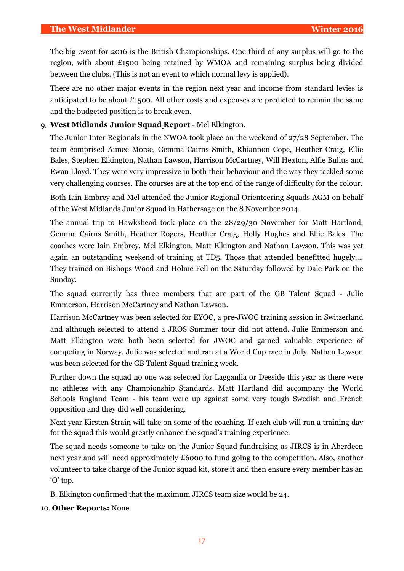The big event for 2016 is the British Championships. One third of any surplus will go to the region, with about £1500 being retained by WMOA and remaining surplus being divided between the clubs. (This is not an event to which normal levy is applied).

There are no other major events in the region next year and income from standard levies is anticipated to be about £1500. All other costs and expenses are predicted to remain the same and the budgeted position is to break even.

## 9. **West Midlands Junior Squad Report** - Mel Elkington.

The Junior Inter Regionals in the NWOA took place on the weekend of 27/28 September. The team comprised Aimee Morse, Gemma Cairns Smith, Rhiannon Cope, Heather Craig, Ellie Bales, Stephen Elkington, Nathan Lawson, Harrison McCartney, Will Heaton, Alfie Bullus and Ewan Lloyd. They were very impressive in both their behaviour and the way they tackled some very challenging courses. The courses are at the top end of the range of difficulty for the colour.

Both Iain Embrey and Mel attended the Junior Regional Orienteering Squads AGM on behalf of the West Midlands Junior Squad in Hathersage on the 8 November 2014.

The annual trip to Hawkshead took place on the 28/29/30 November for Matt Hartland, Gemma Cairns Smith, Heather Rogers, Heather Craig, Holly Hughes and Ellie Bales. The coaches were Iain Embrey, Mel Elkington, Matt Elkington and Nathan Lawson. This was yet again an outstanding weekend of training at TD5. Those that attended benefitted hugely…. They trained on Bishops Wood and Holme Fell on the Saturday followed by Dale Park on the Sunday.

The squad currently has three members that are part of the GB Talent Squad - Julie Emmerson, Harrison McCartney and Nathan Lawson.

Harrison McCartney was been selected for EYOC, a pre-JWOC training session in Switzerland and although selected to attend a JROS Summer tour did not attend. Julie Emmerson and Matt Elkington were both been selected for JWOC and gained valuable experience of competing in Norway. Julie was selected and ran at a World Cup race in July. Nathan Lawson was been selected for the GB Talent Squad training week.

Further down the squad no one was selected for Lagganlia or Deeside this year as there were no athletes with any Championship Standards. Matt Hartland did accompany the World Schools England Team - his team were up against some very tough Swedish and French opposition and they did well considering.

Next year Kirsten Strain will take on some of the coaching. If each club will run a training day for the squad this would greatly enhance the squad's training experience.

The squad needs someone to take on the Junior Squad fundraising as JIRCS is in Aberdeen next year and will need approximately £6000 to fund going to the competition. Also, another volunteer to take charge of the Junior squad kit, store it and then ensure every member has an 'O' top.

B. Elkington confirmed that the maximum JIRCS team size would be 24.

10. **Other Reports:** None.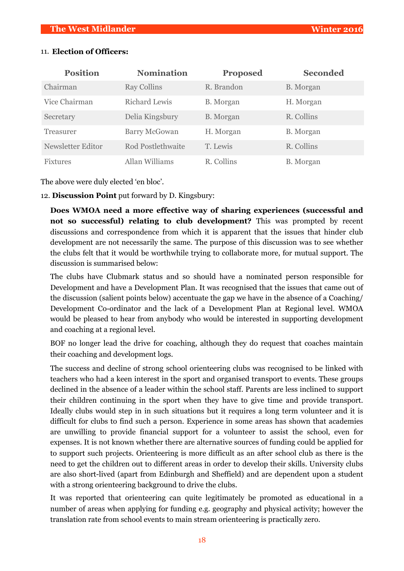| <b>Position</b>   | <b>Nomination</b>    | <b>Proposed</b> | <b>Seconded</b>  |
|-------------------|----------------------|-----------------|------------------|
| Chairman          | <b>Ray Collins</b>   | R. Brandon      | <b>B.</b> Morgan |
| Vice Chairman     | <b>Richard Lewis</b> | B. Morgan       | H. Morgan        |
| Secretary         | Delia Kingsbury      | B. Morgan       | R. Collins       |
| Treasurer         | <b>Barry McGowan</b> | H. Morgan       | B. Morgan        |
| Newsletter Editor | Rod Postlethwaite    | T. Lewis        | R. Collins       |
| <b>Fixtures</b>   | Allan Williams       | R. Collins      | B. Morgan        |

## 11. **Election of Officers:**

The above were duly elected 'en bloc'.

12. **Discussion Point** put forward by D. Kingsbury:

**Does WMOA need a more effective way of sharing experiences (successful and not so successful) relating to club development?** This was prompted by recent discussions and correspondence from which it is apparent that the issues that hinder club development are not necessarily the same. The purpose of this discussion was to see whether the clubs felt that it would be worthwhile trying to collaborate more, for mutual support. The discussion is summarised below:

The clubs have Clubmark status and so should have a nominated person responsible for Development and have a Development Plan. It was recognised that the issues that came out of the discussion (salient points below) accentuate the gap we have in the absence of a Coaching/ Development Co-ordinator and the lack of a Development Plan at Regional level. WMOA would be pleased to hear from anybody who would be interested in supporting development and coaching at a regional level.

BOF no longer lead the drive for coaching, although they do request that coaches maintain their coaching and development logs.

The success and decline of strong school orienteering clubs was recognised to be linked with teachers who had a keen interest in the sport and organised transport to events. These groups declined in the absence of a leader within the school staff. Parents are less inclined to support their children continuing in the sport when they have to give time and provide transport. Ideally clubs would step in in such situations but it requires a long term volunteer and it is difficult for clubs to find such a person. Experience in some areas has shown that academies are unwilling to provide financial support for a volunteer to assist the school, even for expenses. It is not known whether there are alternative sources of funding could be applied for to support such projects. Orienteering is more difficult as an after school club as there is the need to get the children out to different areas in order to develop their skills. University clubs are also short-lived (apart from Edinburgh and Sheffield) and are dependent upon a student with a strong orienteering background to drive the clubs.

It was reported that orienteering can quite legitimately be promoted as educational in a number of areas when applying for funding e.g. geography and physical activity; however the translation rate from school events to main stream orienteering is practically zero.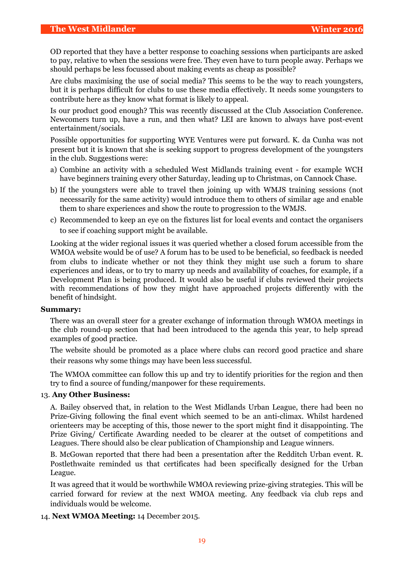OD reported that they have a better response to coaching sessions when participants are asked to pay, relative to when the sessions were free. They even have to turn people away. Perhaps we should perhaps be less focussed about making events as cheap as possible?

Are clubs maximising the use of social media? This seems to be the way to reach youngsters, but it is perhaps difficult for clubs to use these media effectively. It needs some youngsters to contribute here as they know what format is likely to appeal.

Is our product good enough? This was recently discussed at the Club Association Conference. Newcomers turn up, have a run, and then what? LEI are known to always have post-event entertainment/socials.

Possible opportunities for supporting WYE Ventures were put forward. K. da Cunha was not present but it is known that she is seeking support to progress development of the youngsters in the club. Suggestions were:

- a) Combine an activity with a scheduled West Midlands training event for example WCH have beginners training every other Saturday, leading up to Christmas, on Cannock Chase.
- b) If the youngsters were able to travel then joining up with WMJS training sessions (not necessarily for the same activity) would introduce them to others of similar age and enable them to share experiences and show the route to progression to the WMJS.
- c) Recommended to keep an eye on the fixtures list for local events and contact the organisers to see if coaching support might be available.

Looking at the wider regional issues it was queried whether a closed forum accessible from the WMOA website would be of use? A forum has to be used to be beneficial, so feedback is needed from clubs to indicate whether or not they think they might use such a forum to share experiences and ideas, or to try to marry up needs and availability of coaches, for example, if a Development Plan is being produced. It would also be useful if clubs reviewed their projects with recommendations of how they might have approached projects differently with the benefit of hindsight.

#### **Summary:**

There was an overall steer for a greater exchange of information through WMOA meetings in the club round-up section that had been introduced to the agenda this year, to help spread examples of good practice.

The website should be promoted as a place where clubs can record good practice and share their reasons why some things may have been less successful.

The WMOA committee can follow this up and try to identify priorities for the region and then try to find a source of funding/manpower for these requirements.

#### 13. **Any Other Business:**

A. Bailey observed that, in relation to the West Midlands Urban League, there had been no Prize-Giving following the final event which seemed to be an anti-climax. Whilst hardened orienteers may be accepting of this, those newer to the sport might find it disappointing. The Prize Giving/ Certificate Awarding needed to be clearer at the outset of competitions and Leagues. There should also be clear publication of Championship and League winners.

B. McGowan reported that there had been a presentation after the Redditch Urban event. R. Postlethwaite reminded us that certificates had been specifically designed for the Urban League.

It was agreed that it would be worthwhile WMOA reviewing prize-giving strategies. This will be carried forward for review at the next WMOA meeting. Any feedback via club reps and individuals would be welcome.

14. **Next WMOA Meeting:** 14 December 2015.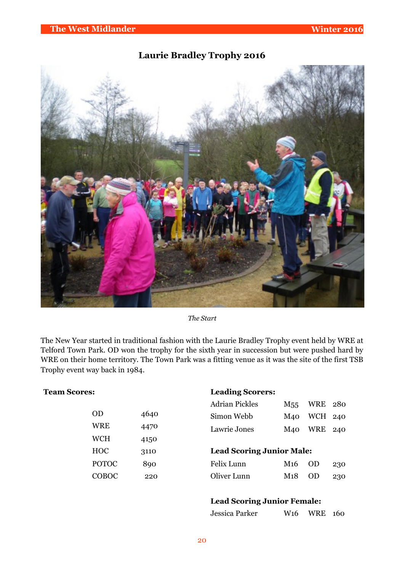## **Laurie Bradley Trophy 2016**



*The Start*

The New Year started in traditional fashion with the Laurie Bradley Trophy event held by WRE at Telford Town Park. OD won the trophy for the sixth year in succession but were pushed hard by WRE on their home territory. The Town Park was a fitting venue as it was the site of the first TSB Trophy event way back in 1984.

## **Team Scores:**

| OD           | 4640 |
|--------------|------|
| WRE          | 4470 |
| <b>WCH</b>   | 4150 |
| <b>HOC</b>   | 3110 |
| <b>POTOC</b> | 890  |
| COBOC        | 220  |

## **Leading Scorers:**

| <b>Adrian Pickles</b> | M <sub>55</sub> WRE 280 |  |
|-----------------------|-------------------------|--|
| Simon Webb            | M <sub>40</sub> WCH 240 |  |
| Lawrie Jones          | M <sub>40</sub> WRE 240 |  |

## **Lead Scoring Junior Male:**

| Felix Lunn  | M <sub>16</sub> OD 230  |  |
|-------------|-------------------------|--|
| Oliver Lunn | M <sub>1</sub> 8 OD 230 |  |

## **Lead Scoring Junior Female:**

| Jessica Parker | W <sub>16</sub> WRE 160 |  |
|----------------|-------------------------|--|
|                |                         |  |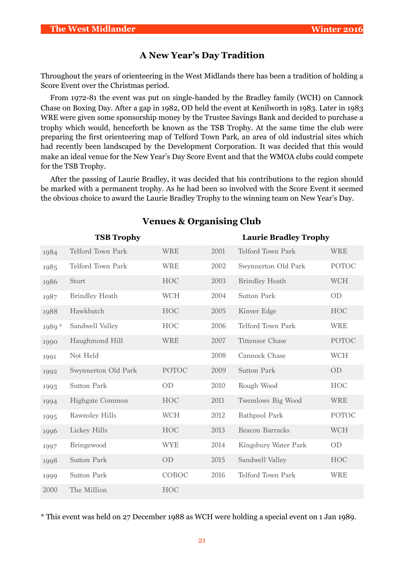## **A New Year's Day Tradition**

Throughout the years of orienteering in the West Midlands there has been a tradition of holding a Score Event over the Christmas period.

From 1972-81 the event was put on single-handed by the Bradley family (WCH) on Cannock Chase on Boxing Day. After a gap in 1982, OD held the event at Kenilworth in 1983. Later in 1983 WRE were given some sponsorship money by the Trustee Savings Bank and decided to purchase a trophy which would, henceforth be known as the TSB Trophy. At the same time the club were preparing the first orienteering map of Telford Town Park, an area of old industrial sites which had recently been landscaped by the Development Corporation. It was decided that this would make an ideal venue for the New Year's Day Score Event and that the WMOA clubs could compete for the TSB Trophy.

After the passing of Laurie Bradley, it was decided that his contributions to the region should be marked with a permanent trophy. As he had been so involved with the Score Event it seemed the obvious choice to award the Laurie Bradley Trophy to the winning team on New Year's Day.

| <b>TSB Trophy</b> |                          |                |      | <b>Laurie Bradley Trophy</b> |              |
|-------------------|--------------------------|----------------|------|------------------------------|--------------|
| 1984              | <b>Telford Town Park</b> | <b>WRE</b>     | 2001 | <b>Telford Town Park</b>     | <b>WRE</b>   |
| 1985              | Telford Town Park        | <b>WRE</b>     | 2002 | Swynnerton Old Park          | <b>POTOC</b> |
| 1986              | Sturt                    | <b>HOC</b>     | 2003 | <b>Brindley Heath</b>        | <b>WCH</b>   |
| 1987              | <b>Brindley Heath</b>    | <b>WCH</b>     | 2004 | <b>Sutton Park</b>           | OD           |
| 1988              | Hawkbatch                | <b>HOC</b>     | 2005 | Kinver Edge                  | <b>HOC</b>   |
| 1989*             | Sandwell Valley          | <b>HOC</b>     | 2006 | <b>Telford Town Park</b>     | <b>WRE</b>   |
| 1990              | Haughmond Hill           | <b>WRE</b>     | 2007 | <b>Tittensor Chase</b>       | <b>POTOC</b> |
| 1991              | Not Held                 |                | 2008 | Cannock Chase                | <b>WCH</b>   |
| 1992              | Swynnerton Old Park      | <b>POTOC</b>   | 2009 | <b>Sutton Park</b>           | OD           |
| 1993              | <b>Sutton Park</b>       | 0 <sub>D</sub> | 2010 | Rough Wood                   | <b>HOC</b>   |
| 1994              | <b>Highgate Common</b>   | <b>HOC</b>     | 2011 | Twemlows Big Wood            | <b>WRE</b>   |
| 1995              | <b>Rawnsley Hills</b>    | <b>WCH</b>     | 2012 | <b>Bathpool Park</b>         | <b>POTOC</b> |
| 1996              | Lickey Hills             | <b>HOC</b>     | 2013 | <b>Beacon Barracks</b>       | <b>WCH</b>   |
| 1997              | Bringewood               | <b>WYE</b>     | 2014 | Kingsbury Water Park         | <b>OD</b>    |
| 1998              | <b>Sutton Park</b>       | OD             | 2015 | Sandwell Valley              | <b>HOC</b>   |
| 1999              | <b>Sutton Park</b>       | COBOC          | 2016 | <b>Telford Town Park</b>     | <b>WRE</b>   |
| 2000              | The Million              | <b>HOC</b>     |      |                              |              |

## **Venues & Organising Club**

\* This event was held on 27 December 1988 as WCH were holding a special event on 1 Jan 1989.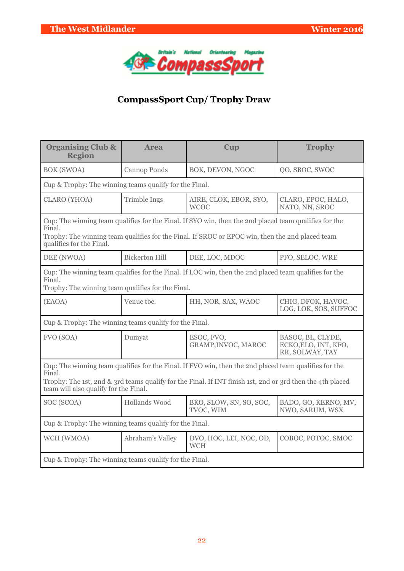

# **CompassSport Cup/ Trophy Draw**

| <b>Organising Club &amp;</b><br><b>Region</b>                                                                                                                                                                                                                         | <b>Area</b>           | Cup                                   | <b>Trophy</b>                                                |  |  |
|-----------------------------------------------------------------------------------------------------------------------------------------------------------------------------------------------------------------------------------------------------------------------|-----------------------|---------------------------------------|--------------------------------------------------------------|--|--|
| <b>BOK (SWOA)</b>                                                                                                                                                                                                                                                     | Cannop Ponds          | BOK, DEVON, NGOC                      | QO, SBOC, SWOC                                               |  |  |
| Cup & Trophy: The winning teams qualify for the Final.                                                                                                                                                                                                                |                       |                                       |                                                              |  |  |
| <b>CLARO</b> (YHOA)                                                                                                                                                                                                                                                   | <b>Trimble Ings</b>   | AIRE, CLOK, EBOR, SYO,<br><b>WCOC</b> | CLARO, EPOC, HALO,<br>NATO, NN, SROC                         |  |  |
| Cup: The winning team qualifies for the Final. If SYO win, then the 2nd placed team qualifies for the<br>Final.<br>Trophy: The winning team qualifies for the Final. If SROC or EPOC win, then the 2nd placed team<br>qualifies for the Final.                        |                       |                                       |                                                              |  |  |
| DEE (NWOA)                                                                                                                                                                                                                                                            | <b>Bickerton Hill</b> | DEE, LOC, MDOC                        | PFO, SELOC, WRE                                              |  |  |
| Cup: The winning team qualifies for the Final. If LOC win, then the 2nd placed team qualifies for the<br>Final.<br>Trophy: The winning team qualifies for the Final.                                                                                                  |                       |                                       |                                                              |  |  |
| (EAOA)                                                                                                                                                                                                                                                                | Venue tbc.            | HH, NOR, SAX, WAOC                    | CHIG, DFOK, HAVOC,<br>LOG, LOK, SOS, SUFFOC                  |  |  |
| Cup & Trophy: The winning teams qualify for the Final.                                                                                                                                                                                                                |                       |                                       |                                                              |  |  |
| FVO (SOA)                                                                                                                                                                                                                                                             | Dumyat                | ESOC, FVO,<br>GRAMP, INVOC, MAROC     | BASOC, BL, CLYDE,<br>ECKO, ELO, INT, KFO,<br>RR, SOLWAY, TAY |  |  |
| Cup: The winning team qualifies for the Final. If FVO win, then the 2nd placed team qualifies for the<br>Final.<br>Trophy: The 1st, 2nd & 3rd teams qualify for the Final. If INT finish 1st, 2nd or 3rd then the 4th placed<br>team will also qualify for the Final. |                       |                                       |                                                              |  |  |
| SOC (SCOA)                                                                                                                                                                                                                                                            | Hollands Wood         | BKO, SLOW, SN, SO, SOC,<br>TVOC, WIM  | BADO, GO, KERNO, MV,<br>NWO, SARUM, WSX                      |  |  |
| Cup & Trophy: The winning teams qualify for the Final.                                                                                                                                                                                                                |                       |                                       |                                                              |  |  |
| WCH (WMOA)                                                                                                                                                                                                                                                            | Abraham's Valley      | DVO, HOC, LEI, NOC, OD,<br><b>WCH</b> | COBOC, POTOC, SMOC                                           |  |  |
| Cup & Trophy: The winning teams qualify for the Final.                                                                                                                                                                                                                |                       |                                       |                                                              |  |  |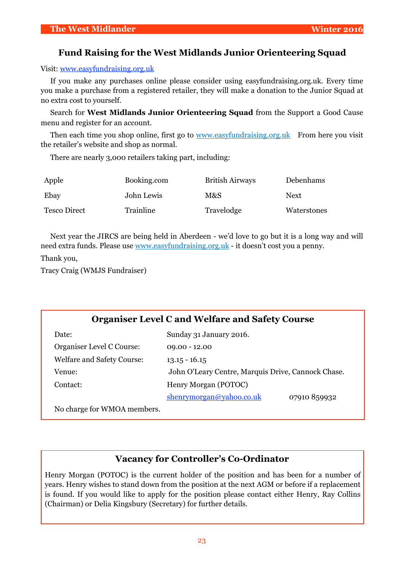## **Fund Raising for the West Midlands Junior Orienteering Squad**

Visit: [www.easyfundraising.org.uk](http://www.easyfundraising.org.uk)

If you make any purchases online please consider using easyfundraising.org.uk. Every time you make a purchase from a registered retailer, they will make a donation to the Junior Squad at no extra cost to yourself.

Search for **West Midlands Junior Orienteering Squad** from the Support a Good Cause menu and register for an account.

Then each time you shop online, first go to [www.easyfundraising.org.uk](http://www.easyfundraising.org.uk) From here you visit the retailer's website and shop as normal.

There are nearly 3,000 retailers taking part, including:

| Apple               | Booking.com | <b>British Airways</b> | Debenhams   |
|---------------------|-------------|------------------------|-------------|
| Ebay                | John Lewis  | M&S                    | <b>Next</b> |
| <b>Tesco Direct</b> | Trainline   | Travelodge             | Waterstones |

Next year the JIRCS are being held in Aberdeen - we'd love to go but it is a long way and will need extra funds. Please use [www.easyfundraising.org.uk](http://www.easyfundraising.org.uk) - it doesn't cost you a penny.

Thank you,

Tracy Craig (WMJS Fundraiser)

## **Organiser Level C and Welfare and Safety Course**

| Date:                             | Sunday 31 January 2016.                            |
|-----------------------------------|----------------------------------------------------|
| Organiser Level C Course:         | $09.00 - 12.00$                                    |
| <b>Welfare and Safety Course:</b> | $13.15 - 16.15$                                    |
| Venue:                            | John O'Leary Centre, Marquis Drive, Cannock Chase. |
| Contact:                          | Henry Morgan (POTOC)                               |
|                                   | shenrymorgan@yahoo.co.uk<br>07910 859932           |
| $N_0$ charge for $WMO$ members    |                                                    |

No charge for WMOA members.

## **Vacancy for Controller's Co-Ordinator**

Henry Morgan (POTOC) is the current holder of the position and has been for a number of years. Henry wishes to stand down from the position at the next AGM or before if a replacement is found. If you would like to apply for the position please contact either Henry, Ray Collins (Chairman) or Delia Kingsbury (Secretary) for further details.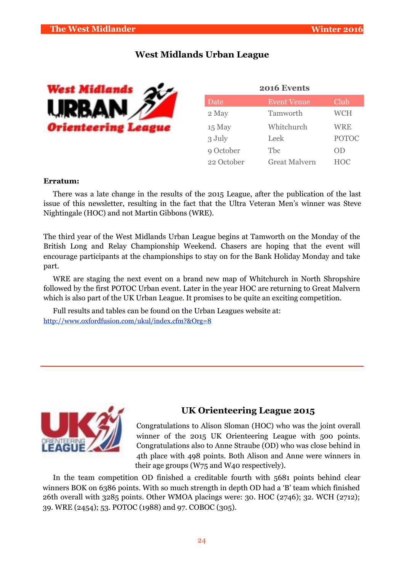## **West Midlands Urban League**



| 2016 Events |                    |              |  |  |  |  |  |  |
|-------------|--------------------|--------------|--|--|--|--|--|--|
| Date        | <b>Event Venue</b> | Club         |  |  |  |  |  |  |
| 2 May       | Tamworth           | <b>WCH</b>   |  |  |  |  |  |  |
| 15 May      | Whitchurch         | <b>WRE</b>   |  |  |  |  |  |  |
| 3 July      | Leek               | <b>POTOC</b> |  |  |  |  |  |  |
| 9 October   | Tbc                | OD           |  |  |  |  |  |  |
| 22 October  | Great Malvern      | <b>HOC</b>   |  |  |  |  |  |  |

#### **Erratum:**

There was a late change in the results of the 2015 League, after the publication of the last issue of this newsletter, resulting in the fact that the Ultra Veteran Men's winner was Steve Nightingale (HOC) and not Martin Gibbons (WRE).

The third year of the West Midlands Urban League begins at Tamworth on the Monday of the British Long and Relay Championship Weekend. Chasers are hoping that the event will encourage participants at the championships to stay on for the Bank Holiday Monday and take part.

WRE are staging the next event on a brand new map of Whitchurch in North Shropshire followed by the first POTOC Urban event. Later in the year HOC are returning to Great Malvern which is also part of the UK Urban League. It promises to be quite an exciting competition.

Full results and tables can be found on the Urban Leagues website at: <http://www.oxfordfusion.com/ukul/index.cfm?&Org=8>



## **UK Orienteering League 2015**

Congratulations to Alison Sloman (HOC) who was the joint overall winner of the 2015 UK Orienteering League with 500 points. Congratulations also to Anne Straube (OD) who was close behind in 4th place with 498 points. Both Alison and Anne were winners in their age groups (W75 and W40 respectively).

In the team competition OD finished a creditable fourth with 5681 points behind clear winners BOK on 6386 points. With so much strength in depth OD had a 'B' team which finished 26th overall with 3285 points. Other WMOA placings were: 30. HOC (2746); 32. WCH (2712); 39. WRE (2454); 53. POTOC (1988) and 97. COBOC (305).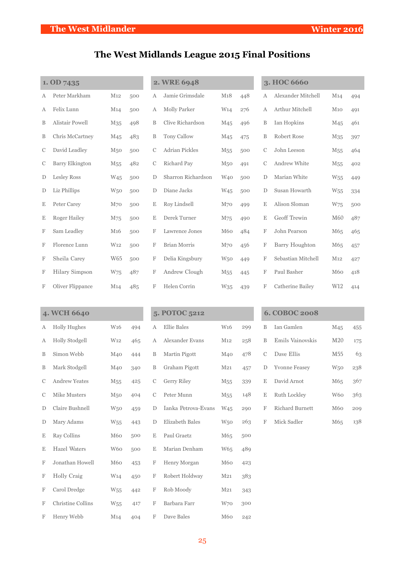# **The West Midlands League 2015 Final Positions**

| 1. OD 7435  |                        |                 |     |               | 2. WRE 6948           |                 |     |               | 3. HOC 6660           |                 |     |
|-------------|------------------------|-----------------|-----|---------------|-----------------------|-----------------|-----|---------------|-----------------------|-----------------|-----|
| А           | Peter Markham          | M12             | 500 | А             | Jamie Grimsdale       | M18             | 448 | А             | Alexander Mitchell    | M14             | 494 |
| Α           | Felix Lunn             | M14             | 500 | А             | <b>Molly Parker</b>   | W <sub>14</sub> | 276 | А             | Arthur Mitchell       | M10             | 491 |
| B           | Alistair Powell        | M35             | 498 | B             | Clive Richardson      | M <sub>45</sub> | 496 | B             | Ian Hopkins           | M <sub>45</sub> | 461 |
| B           | Chris McCartney        | M <sub>45</sub> | 483 | B             | <b>Tony Callow</b>    | M <sub>45</sub> | 475 | B             | Robert Rose           | M <sub>35</sub> | 397 |
| C           | David Leadley          | M <sub>50</sub> | 500 | $\mathcal{C}$ | <b>Adrian Pickles</b> | M <sub>55</sub> | 500 | $\mathcal{C}$ | John Leeson           | M <sub>55</sub> | 464 |
| С           | <b>Barry Elkington</b> | M <sub>55</sub> | 482 | $\mathcal{C}$ | Richard Pay           | M <sub>50</sub> | 491 | С             | Andrew White          | M <sub>55</sub> | 402 |
| D           | <b>Lesley Ross</b>     | W <sub>45</sub> | 500 | D             | Sharron Richardson    | W <sub>40</sub> | 500 | D             | Marian White          | W <sub>55</sub> | 449 |
| $\mathbf D$ | Liz Phillips           | W <sub>50</sub> | 500 | D             | Diane Jacks           | W <sub>45</sub> | 500 | D             | Susan Howarth         | W <sub>55</sub> | 334 |
| E           | Peter Carey            | M <sub>70</sub> | 500 | $\mathbf E$   | Roy Lindsell          | M <sub>70</sub> | 499 | Ε             | Alison Sloman         | W75             | 500 |
| E           | <b>Roger Hailey</b>    | M75             | 500 | Ε             | Derek Turner          | M75             | 490 | E             | Geoff Trewin          | M <sub>60</sub> | 487 |
| F           | Sam Leadley            | M <sub>16</sub> | 500 | F             | Lawrence Jones        | M60             | 484 | F             | John Pearson          | M65             | 465 |
| F           | Florence Lunn          | W <sub>12</sub> | 500 | F             | <b>Brian Morris</b>   | M <sub>70</sub> | 456 | F             | <b>Barry Houghton</b> | M65             | 457 |
| F           | Sheila Carey           | W65             | 500 | F             | Delia Kingsbury       | W <sub>50</sub> | 449 | F             | Sebastian Mitchell    | M <sub>12</sub> | 427 |
| F           | <b>Hilary Simpson</b>  | W75             | 487 | F             | Andrew Clough         | M <sub>55</sub> | 445 | F             | Paul Basher           | M60             | 418 |
| F           | Oliver Flippance       | M14             | 485 | F             | Helen Corrin          | W35             | 439 | F             | Catherine Bailey      | W12             | 414 |
|             |                        |                 |     |               |                       |                 |     |               |                       |                 |     |
|             | 4. WCH 6640            |                 |     |               | 5. POTOC 5212         |                 |     |               | <b>6. COBOC 2008</b>  |                 |     |
| А           | <b>Holly Hughes</b>    | W <sub>16</sub> | 494 | А             | <b>Ellie Bales</b>    | W <sub>16</sub> | 299 | B             | Ian Gamlen            | M <sub>45</sub> | 455 |
| Α           | Holly Stodgell         | W <sub>12</sub> | 465 | А             | Alexander Evans       | M <sub>12</sub> | 258 | B             | Emils Vainovskis      | M20             | 175 |

| A | Holly Stodgell       | W <sub>12</sub> | 465 | A | Alexander Evans     | M12             | 258 | B           | Emils Vainovskis     | M20             | 175 |
|---|----------------------|-----------------|-----|---|---------------------|-----------------|-----|-------------|----------------------|-----------------|-----|
| B | Simon Webb           | M40             | 444 | B | Martin Pigott       | M <sub>40</sub> | 478 | C           | Dave Ellis           | M <sub>55</sub> | 63  |
| B | Mark Stodgell        | M40             | 340 | B | Graham Pigott       | M <sub>21</sub> | 457 | D           | <b>Yvonne Feasey</b> | W <sub>50</sub> | 238 |
| C | <b>Andrew Yeates</b> | M <sub>55</sub> | 425 | C | Gerry Riley         | M <sub>55</sub> | 339 | E           | David Arnot          | M65             | 367 |
| C | <b>Mike Musters</b>  | M50             | 404 | C | Peter Munn          | M <sub>55</sub> | 148 | $\mathbf E$ | Ruth Lockley         | W60             | 363 |
| D | Claire Bushnell      | W <sub>50</sub> | 459 | D | Ianka Petrova-Evans | W <sub>45</sub> | 290 | F           | Richard Burnett      | M60             | 209 |
| D | Mary Adams           | W <sub>55</sub> | 443 | D | Elizabeth Bales     | <b>W50</b>      | 263 | F           | Mick Sadler          | M65             | 138 |
| E | Ray Collins          | M60             | 500 | E | Paul Graetz         | M65             | 500 |             |                      |                 |     |
| Ε | <b>Hazel Waters</b>  | W <sub>60</sub> | 500 | E | Marian Denham       | W <sub>65</sub> | 489 |             |                      |                 |     |
| F | Jonathan Howell      | M60             | 453 | F | Henry Morgan        | M60             | 423 |             |                      |                 |     |
| F | Holly Craig          | W <sub>14</sub> | 450 | F | Robert Holdway      | M <sub>21</sub> | 383 |             |                      |                 |     |
| F | Carol Dredge         | W <sub>55</sub> | 442 | F | Rob Moody           | M <sub>21</sub> | 343 |             |                      |                 |     |
| F | Christine Collins    | W <sub>55</sub> | 417 | F | Barbara Farr        | W <sub>70</sub> | 300 |             |                      |                 |     |
| F | Henry Webb           | M <sub>14</sub> | 404 | F | Dave Bales          | M60             | 242 |             |                      |                 |     |

|    | 6. COBOC 2008        |                 |     |
|----|----------------------|-----------------|-----|
| B  | Ian Gamlen           | M <sub>45</sub> | 455 |
| B  | Emils Vainovskis     | M <sub>20</sub> | 175 |
| C  | Dave Ellis           | M <sub>55</sub> | 63  |
| D  | <b>Yvonne Feasey</b> | <b>W50</b>      | 238 |
| E. | David Arnot          | M <sub>65</sub> | 367 |
| E  | Ruth Lockley         | W <sub>60</sub> | 363 |
| F  | Richard Burnett      | M60             | 209 |
| F  | Mick Sadler          | M65             | 138 |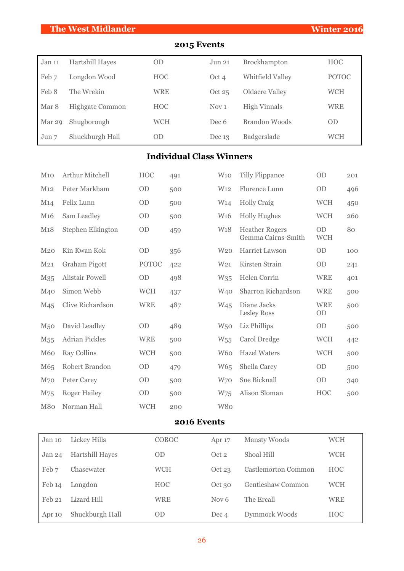## **The West Midlander Winter 2016**

# **2015 Events**

| Jan 11 | <b>Hartshill Hayes</b> | <b>OD</b>  | Jun 21           | Brockhampton         | <b>HOC</b>   |
|--------|------------------------|------------|------------------|----------------------|--------------|
| Feb 7  | Longdon Wood           | <b>HOC</b> | Oct 4            | Whitfield Valley     | <b>POTOC</b> |
| Feb 8  | The Wrekin             | <b>WRE</b> | Oct $25$         | Oldacre Valley       | WCH          |
| Mar 8  | <b>Highgate Common</b> | <b>HOC</b> | Nov <sub>1</sub> | <b>High Vinnals</b>  | WRE          |
| Mar 29 | Shugborough            | <b>WCH</b> | Dec 6            | <b>Brandon Woods</b> | <b>OD</b>    |
| Jun 7  | Shuckburgh Hall        | <b>OD</b>  | Dec $13$         | Badgerslade          | WCH          |

# **Individual Class Winners**

| M10             | Arthur Mitchell        | <b>HOC</b>   | 491 | W10             | <b>Tilly Flippance</b>                      | <b>OD</b>               | 201 |
|-----------------|------------------------|--------------|-----|-----------------|---------------------------------------------|-------------------------|-----|
| M12             | Peter Markham          | OD           | 500 | W <sub>12</sub> | Florence Lunn                               | <b>OD</b>               | 496 |
| M14             | Felix Lunn             | OD           | 500 | W <sub>14</sub> | <b>Holly Craig</b>                          | <b>WCH</b>              | 450 |
| M <sub>16</sub> | Sam Leadley            | OD           | 500 | W <sub>16</sub> | <b>Holly Hughes</b>                         | <b>WCH</b>              | 260 |
| M18             | Stephen Elkington      | OD           | 459 | W18             | <b>Heather Rogers</b><br>Gemma Cairns-Smith | <b>OD</b><br><b>WCH</b> | 80  |
| M <sub>20</sub> | Kin Kwan Kok           | OD           | 356 | W <sub>20</sub> | Harriet Lawson                              | OD                      | 100 |
| M <sub>21</sub> | Graham Pigott          | <b>POTOC</b> | 422 | W <sub>21</sub> | Kirsten Strain                              | OD                      | 241 |
| M35             | <b>Alistair Powell</b> | OD           | 498 | W <sub>35</sub> | Helen Corrin                                | <b>WRE</b>              | 401 |
| M <sub>40</sub> | Simon Webb             | <b>WCH</b>   | 437 | W <sub>40</sub> | Sharron Richardson                          | <b>WRE</b>              | 500 |
| M45             | Clive Richardson       | <b>WRE</b>   | 487 | W <sub>45</sub> | Diane Jacks<br><b>Lesley Ross</b>           | <b>WRE</b><br>OD        | 500 |
| M <sub>50</sub> | David Leadley          | <b>OD</b>    | 489 | W <sub>50</sub> | Liz Phillips                                | <b>OD</b>               | 500 |
| M <sub>55</sub> | <b>Adrian Pickles</b>  | <b>WRE</b>   | 500 | W <sub>55</sub> | Carol Dredge                                | <b>WCH</b>              | 442 |
| <b>M60</b>      | <b>Ray Collins</b>     | <b>WCH</b>   | 500 | W <sub>60</sub> | <b>Hazel Waters</b>                         | <b>WCH</b>              | 500 |
| M65             | Robert Brandon         | OD           | 479 | W <sub>65</sub> | Sheila Carey                                | OD                      | 500 |
| M70             | <b>Peter Carey</b>     | OD           | 500 | W70             | Sue Bicknall                                | OD                      | 340 |
| M75             | <b>Roger Hailey</b>    | OD           | 500 | W75             | Alison Sloman                               | <b>HOC</b>              | 500 |
| M80             | Norman Hall            | <b>WCH</b>   | 200 | W80             |                                             |                         |     |

## **2016 Events**

| Jan 10 | Lickey Hills           | COBOC      | Apr <sub>17</sub> | <b>Mansty Woods</b> | WCH        |
|--------|------------------------|------------|-------------------|---------------------|------------|
| Jan 24 | <b>Hartshill Hayes</b> | <b>OD</b>  | Oct 2             | Shoal Hill          | WCH        |
| Feb 7  | Chasewater             | <b>WCH</b> | Oct 23            | Castlemorton Common | <b>HOC</b> |
| Feb 14 | Longdon                | <b>HOC</b> | Oct 30            | Gentleshaw Common   | WCH        |
| Feb 21 | Lizard Hill            | <b>WRE</b> | Nov $6$           | The Ercall          | <b>WRE</b> |
| Apr 10 | Shuckburgh Hall        | <b>OD</b>  | Dec 4             | Dymmock Woods       | <b>HOC</b> |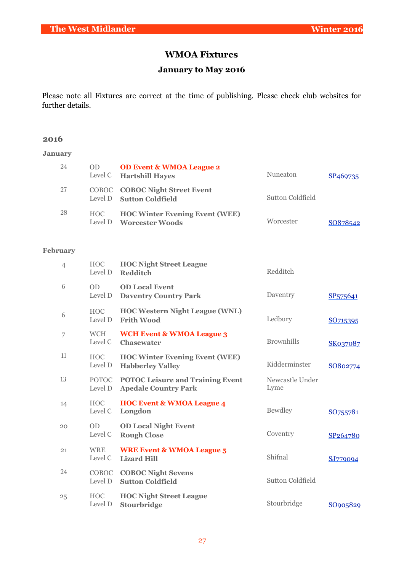# **WMOA Fixtures**

## **January to May 2016**

Please note all Fixtures are correct at the time of publishing. Please check club websites for further details.

## **2016**

## **January**

| 24 | OD. | <b>OD Event &amp; WMOA League 2</b><br>Level C Hartshill Hayes    | Nuneaton         | SP <sub>469735</sub> |
|----|-----|-------------------------------------------------------------------|------------------|----------------------|
| 27 |     | <b>COBOC COBOC Night Street Event</b><br>Level D Sutton Coldfield | Sutton Coldfield |                      |
| 28 | HOC | <b>HOC Winter Evening Event (WEE)</b><br>Level D Worcester Woods  | Worcester        | SO878542             |

## **February**

| $\overline{4}$ | <b>HOC</b><br>Level D   | <b>HOC Night Street League</b><br><b>Redditch</b>                      | Redditch                |                      |
|----------------|-------------------------|------------------------------------------------------------------------|-------------------------|----------------------|
| 6              | <b>OD</b><br>Level D    | <b>OD Local Event</b><br><b>Daventry Country Park</b>                  | Daventry                | SP <sub>575641</sub> |
| 6              | <b>HOC</b><br>Level D   | <b>HOC Western Night League (WNL)</b><br><b>Frith Wood</b>             | Ledbury                 | SO715395             |
| 7              | <b>WCH</b><br>Level C   | <b>WCH Event &amp; WMOA League 3</b><br><b>Chasewater</b>              | <b>Brownhills</b>       | <b>SK037087</b>      |
| 11             | <b>HOC</b><br>Level D   | <b>HOC Winter Evening Event (WEE)</b><br><b>Habberley Valley</b>       | Kidderminster           | SO802774             |
| 13             | <b>POTOC</b><br>Level D | <b>POTOC Leisure and Training Event</b><br><b>Apedale Country Park</b> | Newcastle Under<br>Lyme |                      |
| 14             | <b>HOC</b><br>Level C   | <b>HOC Event &amp; WMOA League 4</b><br>Longdon                        | <b>Bewdley</b>          | SO755781             |
| 20             | <b>OD</b><br>Level C    | <b>OD Local Night Event</b><br><b>Rough Close</b>                      | Coventry                | SP264780             |
| 21             | <b>WRE</b><br>Level C   | <b>WRE Event &amp; WMOA League 5</b><br><b>Lizard Hill</b>             | Shifnal                 | SJ779094             |
| 24             | <b>COBOC</b><br>Level D | <b>COBOC Night Sevens</b><br><b>Sutton Coldfield</b>                   | <b>Sutton Coldfield</b> |                      |
| 25             | <b>HOC</b><br>Level D   | <b>HOC Night Street League</b><br>Stourbridge                          | Stourbridge             | SO905829             |
|                |                         |                                                                        |                         |                      |